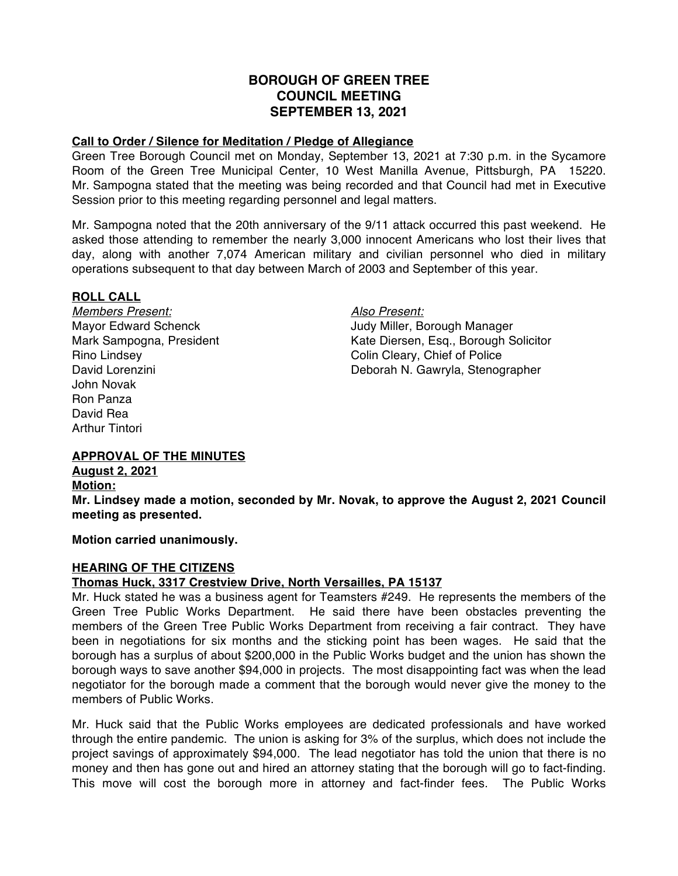# **BOROUGH OF GREEN TREE COUNCIL MEETING SEPTEMBER 13, 2021**

#### **Call to Order / Silence for Meditation / Pledge of Allegiance**

Green Tree Borough Council met on Monday, September 13, 2021 at 7:30 p.m. in the Sycamore Room of the Green Tree Municipal Center, 10 West Manilla Avenue, Pittsburgh, PA 15220. Mr. Sampogna stated that the meeting was being recorded and that Council had met in Executive Session prior to this meeting regarding personnel and legal matters.

Mr. Sampogna noted that the 20th anniversary of the 9/11 attack occurred this past weekend. He asked those attending to remember the nearly 3,000 innocent Americans who lost their lives that day, along with another 7,074 American military and civilian personnel who died in military operations subsequent to that day between March of 2003 and September of this year.

#### **ROLL CALL**

*Members Present: Also Present:* John Novak Ron Panza David Rea Arthur Tintori

Mayor Edward Schenck **Judy Miller**, Borough Manager Mark Sampogna, President Kate Diersen, Esq., Borough Solicitor Rino Lindsey Colin Cleary, Chief of Police David Lorenzini Deborah N. Gawryla, Stenographer

# **APPROVAL OF THE MINUTES**

**August 2, 2021**

**Motion:**

**Mr. Lindsey made a motion, seconded by Mr. Novak, to approve the August 2, 2021 Council meeting as presented.**

**Motion carried unanimously.**

#### **HEARING OF THE CITIZENS**

# **Thomas Huck, 3317 Crestview Drive, North Versailles, PA 15137**

Mr. Huck stated he was a business agent for Teamsters #249. He represents the members of the Green Tree Public Works Department. He said there have been obstacles preventing the members of the Green Tree Public Works Department from receiving a fair contract. They have been in negotiations for six months and the sticking point has been wages. He said that the borough has a surplus of about \$200,000 in the Public Works budget and the union has shown the borough ways to save another \$94,000 in projects. The most disappointing fact was when the lead negotiator for the borough made a comment that the borough would never give the money to the members of Public Works.

Mr. Huck said that the Public Works employees are dedicated professionals and have worked through the entire pandemic. The union is asking for 3% of the surplus, which does not include the project savings of approximately \$94,000. The lead negotiator has told the union that there is no money and then has gone out and hired an attorney stating that the borough will go to fact-finding. This move will cost the borough more in attorney and fact-finder fees. The Public Works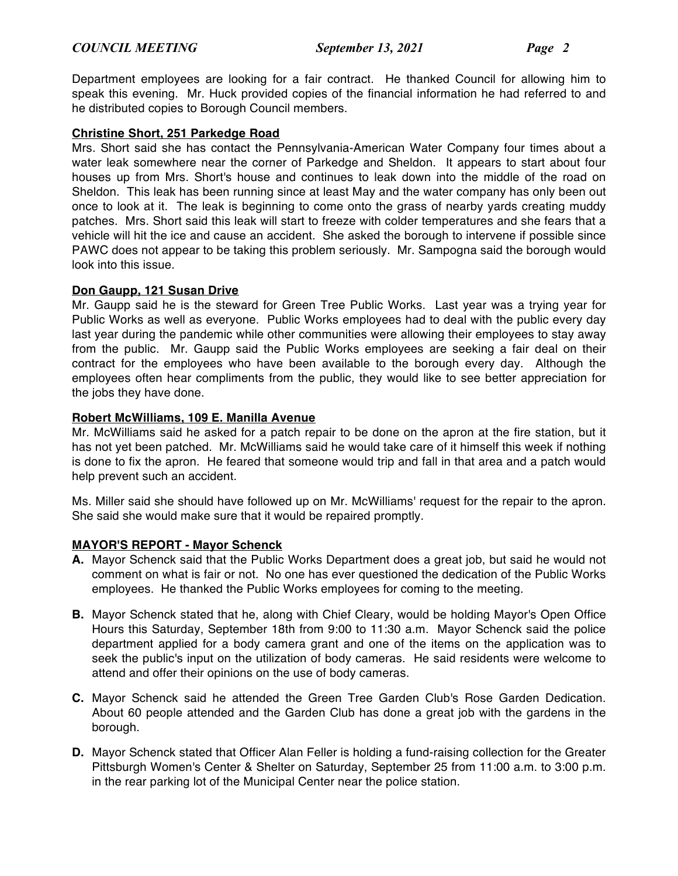Department employees are looking for a fair contract. He thanked Council for allowing him to speak this evening. Mr. Huck provided copies of the financial information he had referred to and he distributed copies to Borough Council members.

## **Christine Short, 251 Parkedge Road**

Mrs. Short said she has contact the Pennsylvania-American Water Company four times about a water leak somewhere near the corner of Parkedge and Sheldon. It appears to start about four houses up from Mrs. Short's house and continues to leak down into the middle of the road on Sheldon. This leak has been running since at least May and the water company has only been out once to look at it. The leak is beginning to come onto the grass of nearby yards creating muddy patches. Mrs. Short said this leak will start to freeze with colder temperatures and she fears that a vehicle will hit the ice and cause an accident. She asked the borough to intervene if possible since PAWC does not appear to be taking this problem seriously. Mr. Sampogna said the borough would look into this issue.

### **Don Gaupp, 121 Susan Drive**

Mr. Gaupp said he is the steward for Green Tree Public Works. Last year was a trying year for Public Works as well as everyone. Public Works employees had to deal with the public every day last year during the pandemic while other communities were allowing their employees to stay away from the public. Mr. Gaupp said the Public Works employees are seeking a fair deal on their contract for the employees who have been available to the borough every day. Although the employees often hear compliments from the public, they would like to see better appreciation for the jobs they have done.

### **Robert McWilliams, 109 E. Manilla Avenue**

Mr. McWilliams said he asked for a patch repair to be done on the apron at the fire station, but it has not yet been patched. Mr. McWilliams said he would take care of it himself this week if nothing is done to fix the apron. He feared that someone would trip and fall in that area and a patch would help prevent such an accident.

Ms. Miller said she should have followed up on Mr. McWilliams' request for the repair to the apron. She said she would make sure that it would be repaired promptly.

# **MAYOR'S REPORT - Mayor Schenck**

- **A.** Mayor Schenck said that the Public Works Department does a great job, but said he would not comment on what is fair or not. No one has ever questioned the dedication of the Public Works employees. He thanked the Public Works employees for coming to the meeting.
- **B.** Mayor Schenck stated that he, along with Chief Cleary, would be holding Mayor's Open Office Hours this Saturday, September 18th from 9:00 to 11:30 a.m. Mayor Schenck said the police department applied for a body camera grant and one of the items on the application was to seek the public's input on the utilization of body cameras. He said residents were welcome to attend and offer their opinions on the use of body cameras.
- **C.** Mayor Schenck said he attended the Green Tree Garden Club's Rose Garden Dedication. About 60 people attended and the Garden Club has done a great job with the gardens in the borough.
- **D.** Mayor Schenck stated that Officer Alan Feller is holding a fund-raising collection for the Greater Pittsburgh Women's Center & Shelter on Saturday, September 25 from 11:00 a.m. to 3:00 p.m. in the rear parking lot of the Municipal Center near the police station.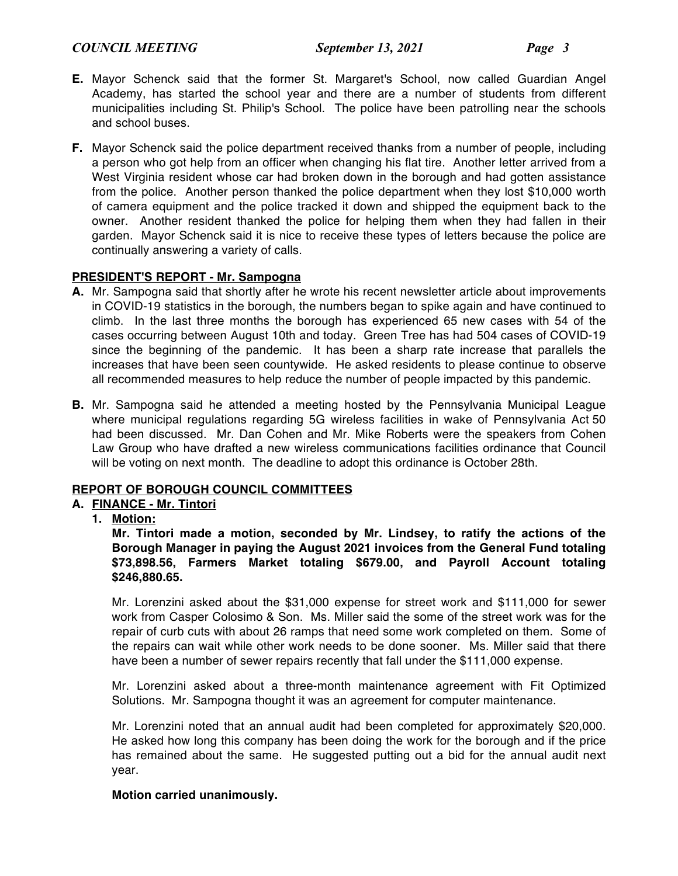# *COUNCIL MEETING September 13, 2021 Page 3*

- **E.** Mayor Schenck said that the former St. Margaret's School, now called Guardian Angel Academy, has started the school year and there are a number of students from different municipalities including St. Philip's School. The police have been patrolling near the schools and school buses.
- **F.** Mayor Schenck said the police department received thanks from a number of people, including a person who got help from an officer when changing his flat tire. Another letter arrived from a West Virginia resident whose car had broken down in the borough and had gotten assistance from the police. Another person thanked the police department when they lost \$10,000 worth of camera equipment and the police tracked it down and shipped the equipment back to the owner. Another resident thanked the police for helping them when they had fallen in their garden. Mayor Schenck said it is nice to receive these types of letters because the police are continually answering a variety of calls.

# **PRESIDENT'S REPORT - Mr. Sampogna**

- **A.** Mr. Sampogna said that shortly after he wrote his recent newsletter article about improvements in COVID-19 statistics in the borough, the numbers began to spike again and have continued to climb. In the last three months the borough has experienced 65 new cases with 54 of the cases occurring between August 10th and today. Green Tree has had 504 cases of COVID-19 since the beginning of the pandemic. It has been a sharp rate increase that parallels the increases that have been seen countywide. He asked residents to please continue to observe all recommended measures to help reduce the number of people impacted by this pandemic.
- **B.** Mr. Sampogna said he attended a meeting hosted by the Pennsylvania Municipal League where municipal regulations regarding 5G wireless facilities in wake of Pennsylvania Act 50 had been discussed. Mr. Dan Cohen and Mr. Mike Roberts were the speakers from Cohen Law Group who have drafted a new wireless communications facilities ordinance that Council will be voting on next month. The deadline to adopt this ordinance is October 28th.

# **REPORT OF BOROUGH COUNCIL COMMITTEES**

# **A. FINANCE - Mr. Tintori**

**1. Motion:**

**Mr. Tintori made a motion, seconded by Mr. Lindsey, to ratify the actions of the Borough Manager in paying the August 2021 invoices from the General Fund totaling \$73,898.56, Farmers Market totaling \$679.00, and Payroll Account totaling \$246,880.65.**

Mr. Lorenzini asked about the \$31,000 expense for street work and \$111,000 for sewer work from Casper Colosimo & Son. Ms. Miller said the some of the street work was for the repair of curb cuts with about 26 ramps that need some work completed on them. Some of the repairs can wait while other work needs to be done sooner. Ms. Miller said that there have been a number of sewer repairs recently that fall under the \$111,000 expense.

Mr. Lorenzini asked about a three-month maintenance agreement with Fit Optimized Solutions. Mr. Sampogna thought it was an agreement for computer maintenance.

Mr. Lorenzini noted that an annual audit had been completed for approximately \$20,000. He asked how long this company has been doing the work for the borough and if the price has remained about the same. He suggested putting out a bid for the annual audit next year.

# **Motion carried unanimously.**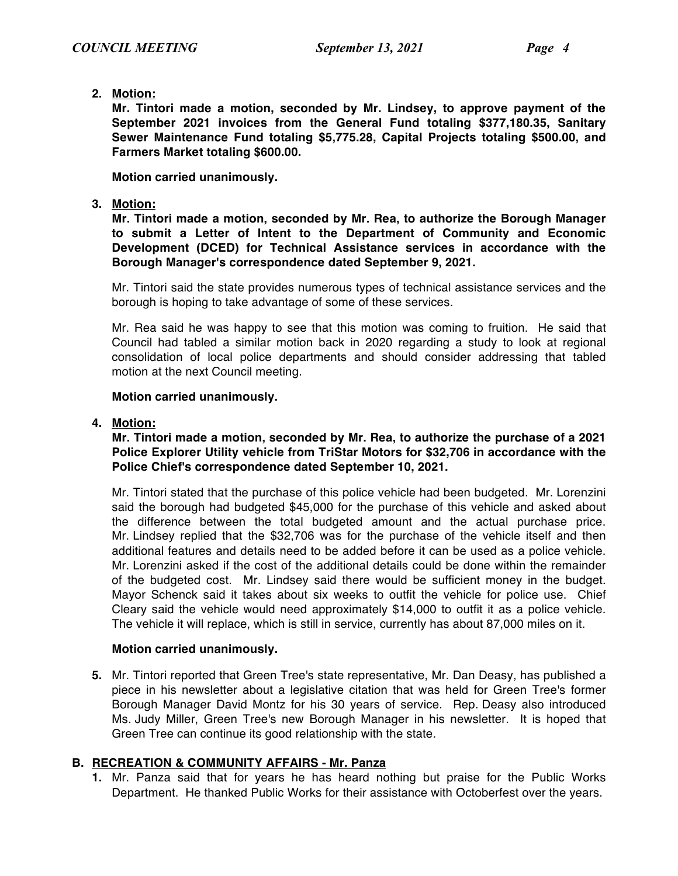**2. Motion:**

**Mr. Tintori made a motion, seconded by Mr. Lindsey, to approve payment of the September 2021 invoices from the General Fund totaling \$377,180.35, Sanitary Sewer Maintenance Fund totaling \$5,775.28, Capital Projects totaling \$500.00, and Farmers Market totaling \$600.00.**

**Motion carried unanimously.**

**3. Motion:**

**Mr. Tintori made a motion, seconded by Mr. Rea, to authorize the Borough Manager to submit a Letter of Intent to the Department of Community and Economic Development (DCED) for Technical Assistance services in accordance with the Borough Manager's correspondence dated September 9, 2021.**

Mr. Tintori said the state provides numerous types of technical assistance services and the borough is hoping to take advantage of some of these services.

Mr. Rea said he was happy to see that this motion was coming to fruition. He said that Council had tabled a similar motion back in 2020 regarding a study to look at regional consolidation of local police departments and should consider addressing that tabled motion at the next Council meeting.

# **Motion carried unanimously.**

# **4. Motion:**

# **Mr. Tintori made a motion, seconded by Mr. Rea, to authorize the purchase of a 2021 Police Explorer Utility vehicle from TriStar Motors for \$32,706 in accordance with the Police Chief's correspondence dated September 10, 2021.**

Mr. Tintori stated that the purchase of this police vehicle had been budgeted. Mr. Lorenzini said the borough had budgeted \$45,000 for the purchase of this vehicle and asked about the difference between the total budgeted amount and the actual purchase price. Mr. Lindsey replied that the \$32,706 was for the purchase of the vehicle itself and then additional features and details need to be added before it can be used as a police vehicle. Mr. Lorenzini asked if the cost of the additional details could be done within the remainder of the budgeted cost. Mr. Lindsey said there would be sufficient money in the budget. Mayor Schenck said it takes about six weeks to outfit the vehicle for police use. Chief Cleary said the vehicle would need approximately \$14,000 to outfit it as a police vehicle. The vehicle it will replace, which is still in service, currently has about 87,000 miles on it.

# **Motion carried unanimously.**

**5.** Mr. Tintori reported that Green Tree's state representative, Mr. Dan Deasy, has published a piece in his newsletter about a legislative citation that was held for Green Tree's former Borough Manager David Montz for his 30 years of service. Rep. Deasy also introduced Ms. Judy Miller, Green Tree's new Borough Manager in his newsletter. It is hoped that Green Tree can continue its good relationship with the state.

# **B. RECREATION & COMMUNITY AFFAIRS - Mr. Panza**

**1.** Mr. Panza said that for years he has heard nothing but praise for the Public Works Department. He thanked Public Works for their assistance with Octoberfest over the years.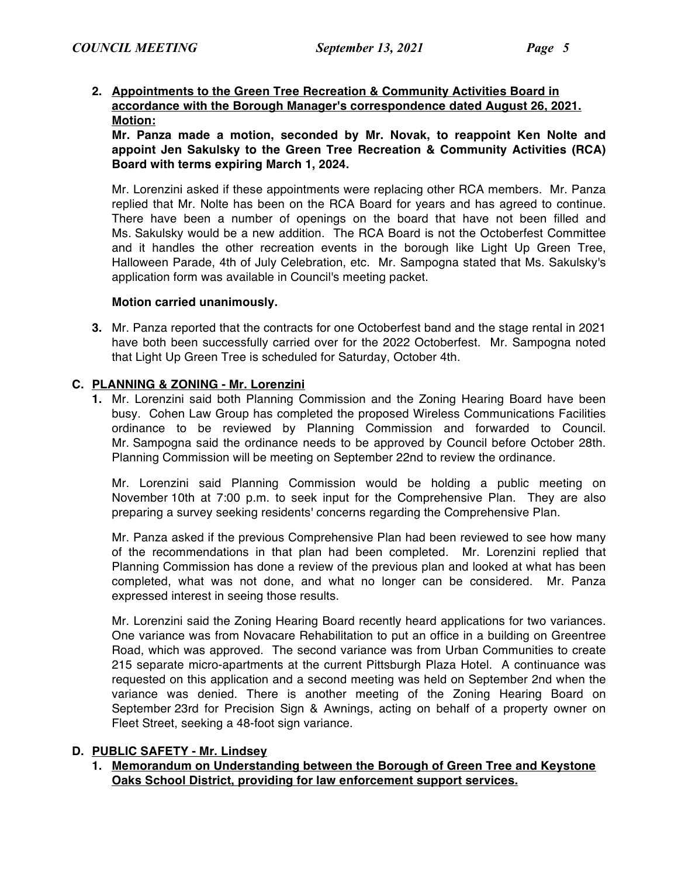### **2. Appointments to the Green Tree Recreation & Community Activities Board in accordance with the Borough Manager's correspondence dated August 26, 2021. Motion:**

**Mr. Panza made a motion, seconded by Mr. Novak, to reappoint Ken Nolte and appoint Jen Sakulsky to the Green Tree Recreation & Community Activities (RCA) Board with terms expiring March 1, 2024.**

Mr. Lorenzini asked if these appointments were replacing other RCA members. Mr. Panza replied that Mr. Nolte has been on the RCA Board for years and has agreed to continue. There have been a number of openings on the board that have not been filled and Ms. Sakulsky would be a new addition. The RCA Board is not the Octoberfest Committee and it handles the other recreation events in the borough like Light Up Green Tree, Halloween Parade, 4th of July Celebration, etc. Mr. Sampogna stated that Ms. Sakulsky's application form was available in Council's meeting packet.

#### **Motion carried unanimously.**

**3.** Mr. Panza reported that the contracts for one Octoberfest band and the stage rental in 2021 have both been successfully carried over for the 2022 Octoberfest. Mr. Sampogna noted that Light Up Green Tree is scheduled for Saturday, October 4th.

#### **C. PLANNING & ZONING - Mr. Lorenzini**

**1.** Mr. Lorenzini said both Planning Commission and the Zoning Hearing Board have been busy. Cohen Law Group has completed the proposed Wireless Communications Facilities ordinance to be reviewed by Planning Commission and forwarded to Council. Mr. Sampogna said the ordinance needs to be approved by Council before October 28th. Planning Commission will be meeting on September 22nd to review the ordinance.

Mr. Lorenzini said Planning Commission would be holding a public meeting on November 10th at 7:00 p.m. to seek input for the Comprehensive Plan. They are also preparing a survey seeking residents' concerns regarding the Comprehensive Plan.

Mr. Panza asked if the previous Comprehensive Plan had been reviewed to see how many of the recommendations in that plan had been completed. Mr. Lorenzini replied that Planning Commission has done a review of the previous plan and looked at what has been completed, what was not done, and what no longer can be considered. Mr. Panza expressed interest in seeing those results.

Mr. Lorenzini said the Zoning Hearing Board recently heard applications for two variances. One variance was from Novacare Rehabilitation to put an office in a building on Greentree Road, which was approved. The second variance was from Urban Communities to create 215 separate micro-apartments at the current Pittsburgh Plaza Hotel. A continuance was requested on this application and a second meeting was held on September 2nd when the variance was denied. There is another meeting of the Zoning Hearing Board on September 23rd for Precision Sign & Awnings, acting on behalf of a property owner on Fleet Street, seeking a 48-foot sign variance.

#### **D. PUBLIC SAFETY - Mr. Lindsey**

**1. Memorandum on Understanding between the Borough of Green Tree and Keystone Oaks School District, providing for law enforcement support services.**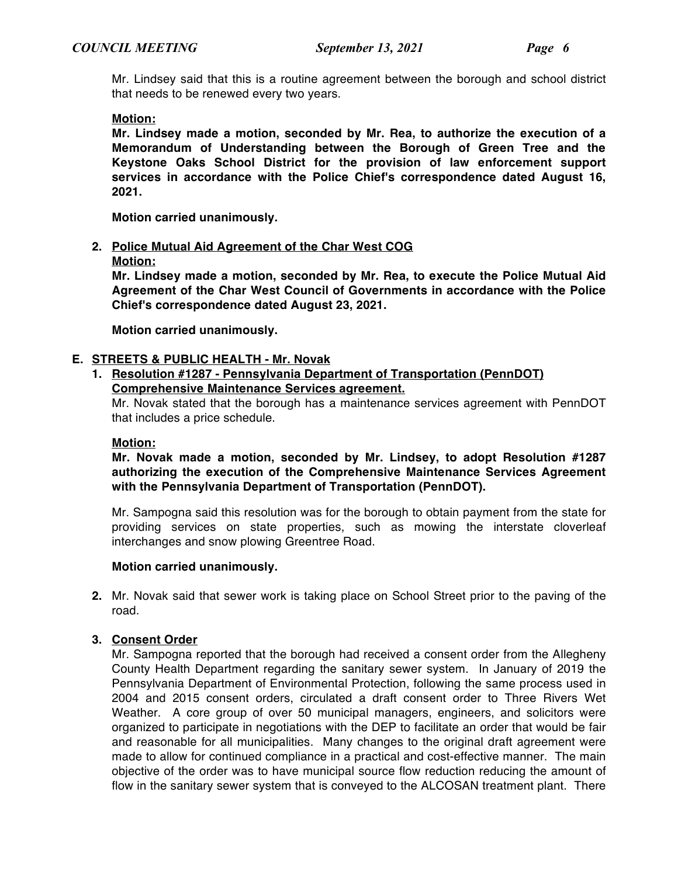Mr. Lindsey said that this is a routine agreement between the borough and school district that needs to be renewed every two years.

### **Motion:**

**Mr. Lindsey made a motion, seconded by Mr. Rea, to authorize the execution of a Memorandum of Understanding between the Borough of Green Tree and the Keystone Oaks School District for the provision of law enforcement support services in accordance with the Police Chief's correspondence dated August 16, 2021.**

**Motion carried unanimously.**

### **2. Police Mutual Aid Agreement of the Char West COG**

#### **Motion:**

**Mr. Lindsey made a motion, seconded by Mr. Rea, to execute the Police Mutual Aid Agreement of the Char West Council of Governments in accordance with the Police Chief's correspondence dated August 23, 2021.**

**Motion carried unanimously.**

### **E. STREETS & PUBLIC HEALTH - Mr. Novak**

# **1. Resolution #1287 - Pennsylvania Department of Transportation (PennDOT) Comprehensive Maintenance Services agreement.**

Mr. Novak stated that the borough has a maintenance services agreement with PennDOT that includes a price schedule.

#### **Motion:**

**Mr. Novak made a motion, seconded by Mr. Lindsey, to adopt Resolution #1287 authorizing the execution of the Comprehensive Maintenance Services Agreement with the Pennsylvania Department of Transportation (PennDOT).**

Mr. Sampogna said this resolution was for the borough to obtain payment from the state for providing services on state properties, such as mowing the interstate cloverleaf interchanges and snow plowing Greentree Road.

#### **Motion carried unanimously.**

**2.** Mr. Novak said that sewer work is taking place on School Street prior to the paving of the road.

# **3. Consent Order**

Mr. Sampogna reported that the borough had received a consent order from the Allegheny County Health Department regarding the sanitary sewer system. In January of 2019 the Pennsylvania Department of Environmental Protection, following the same process used in 2004 and 2015 consent orders, circulated a draft consent order to Three Rivers Wet Weather. A core group of over 50 municipal managers, engineers, and solicitors were organized to participate in negotiations with the DEP to facilitate an order that would be fair and reasonable for all municipalities. Many changes to the original draft agreement were made to allow for continued compliance in a practical and cost-effective manner. The main objective of the order was to have municipal source flow reduction reducing the amount of flow in the sanitary sewer system that is conveyed to the ALCOSAN treatment plant. There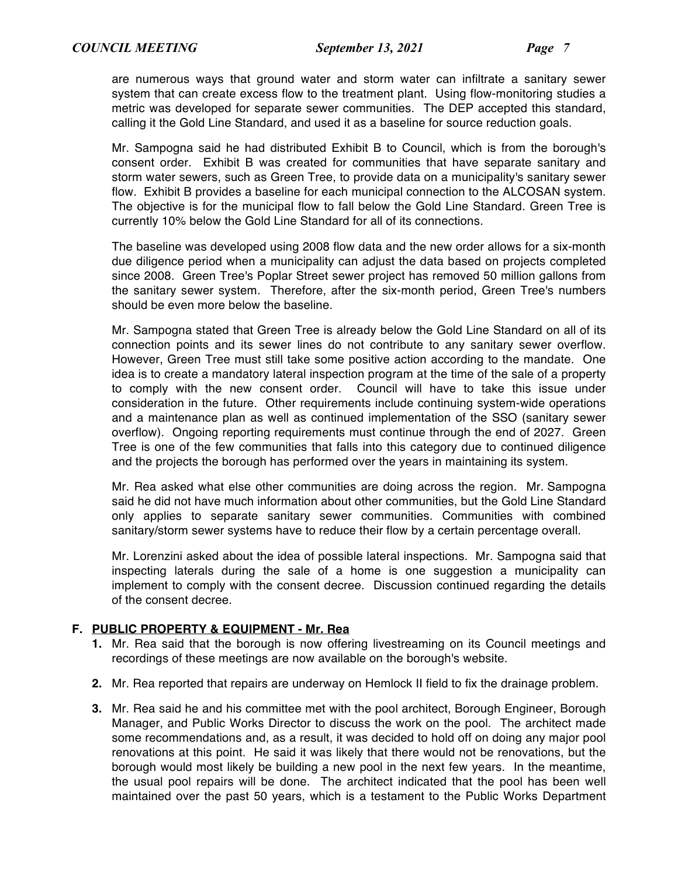are numerous ways that ground water and storm water can infiltrate a sanitary sewer system that can create excess flow to the treatment plant. Using flow-monitoring studies a metric was developed for separate sewer communities. The DEP accepted this standard, calling it the Gold Line Standard, and used it as a baseline for source reduction goals.

Mr. Sampogna said he had distributed Exhibit B to Council, which is from the borough's consent order. Exhibit B was created for communities that have separate sanitary and storm water sewers, such as Green Tree, to provide data on a municipality's sanitary sewer flow. Exhibit B provides a baseline for each municipal connection to the ALCOSAN system. The objective is for the municipal flow to fall below the Gold Line Standard. Green Tree is currently 10% below the Gold Line Standard for all of its connections.

The baseline was developed using 2008 flow data and the new order allows for a six-month due diligence period when a municipality can adjust the data based on projects completed since 2008. Green Tree's Poplar Street sewer project has removed 50 million gallons from the sanitary sewer system. Therefore, after the six-month period, Green Tree's numbers should be even more below the baseline.

Mr. Sampogna stated that Green Tree is already below the Gold Line Standard on all of its connection points and its sewer lines do not contribute to any sanitary sewer overflow. However, Green Tree must still take some positive action according to the mandate. One idea is to create a mandatory lateral inspection program at the time of the sale of a property to comply with the new consent order. Council will have to take this issue under consideration in the future. Other requirements include continuing system-wide operations and a maintenance plan as well as continued implementation of the SSO (sanitary sewer overflow). Ongoing reporting requirements must continue through the end of 2027. Green Tree is one of the few communities that falls into this category due to continued diligence and the projects the borough has performed over the years in maintaining its system.

Mr. Rea asked what else other communities are doing across the region. Mr. Sampogna said he did not have much information about other communities, but the Gold Line Standard only applies to separate sanitary sewer communities. Communities with combined sanitary/storm sewer systems have to reduce their flow by a certain percentage overall.

Mr. Lorenzini asked about the idea of possible lateral inspections. Mr. Sampogna said that inspecting laterals during the sale of a home is one suggestion a municipality can implement to comply with the consent decree. Discussion continued regarding the details of the consent decree.

# **F. PUBLIC PROPERTY & EQUIPMENT - Mr. Rea**

- **1.** Mr. Rea said that the borough is now offering livestreaming on its Council meetings and recordings of these meetings are now available on the borough's website.
- **2.** Mr. Rea reported that repairs are underway on Hemlock II field to fix the drainage problem.
- **3.** Mr. Rea said he and his committee met with the pool architect, Borough Engineer, Borough Manager, and Public Works Director to discuss the work on the pool. The architect made some recommendations and, as a result, it was decided to hold off on doing any major pool renovations at this point. He said it was likely that there would not be renovations, but the borough would most likely be building a new pool in the next few years. In the meantime, the usual pool repairs will be done. The architect indicated that the pool has been well maintained over the past 50 years, which is a testament to the Public Works Department